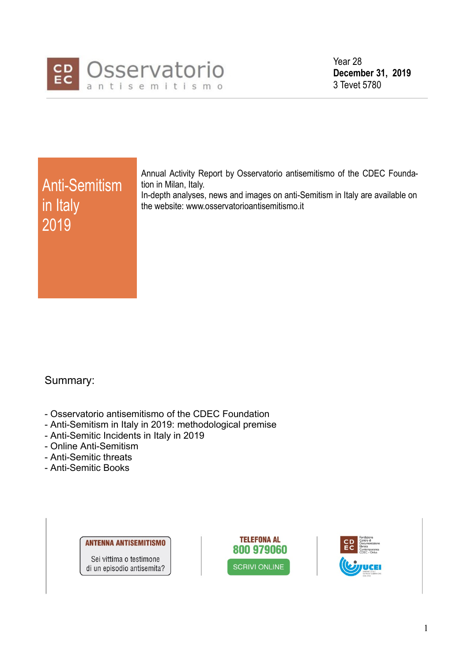

Year 28 **December 31, 2019**  3 Tevet 5780

# Anti-Semitism in Italy 2019

Annual Activity Report by Osservatorio antisemitismo of the CDEC Foundation in Milan, Italy.

In-depth analyses, news and images on anti-Semitism in Italy are available on the website: www.osservatorioantisemitismo.it

# Summary:

- Osservatorio antisemitismo of the CDEC Foundation
- Anti-Semitism in Italy in 2019: methodological premise
- Anti-Semitic Incidents in Italy in 2019
- Online Anti-Semitism
- Anti-Semitic threats
- Anti-Semitic Books

**ANTENNA ANTISEMITISMO** Sei vittima o testimone di un episodio antisemita?



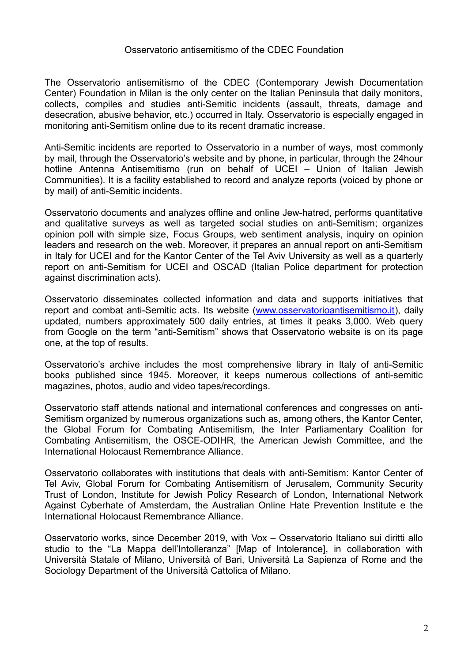# Osservatorio antisemitismo of the CDEC Foundation

The Osservatorio antisemitismo of the CDEC (Contemporary Jewish Documentation Center) Foundation in Milan is the only center on the Italian Peninsula that daily monitors, collects, compiles and studies anti-Semitic incidents (assault, threats, damage and desecration, abusive behavior, etc.) occurred in Italy. Osservatorio is especially engaged in monitoring anti-Semitism online due to its recent dramatic increase.

Anti-Semitic incidents are reported to Osservatorio in a number of ways, most commonly by mail, through the Osservatorio's website and by phone, in particular, through the 24hour hotline Antenna Antisemitismo (run on behalf of UCEI – Union of Italian Jewish Communities). It is a facility established to record and analyze reports (voiced by phone or by mail) of anti-Semitic incidents.

Osservatorio documents and analyzes offline and online Jew-hatred, performs quantitative and qualitative surveys as well as targeted social studies on anti-Semitism; organizes opinion poll with simple size, Focus Groups, web sentiment analysis, inquiry on opinion leaders and research on the web. Moreover, it prepares an annual report on anti-Semitism in Italy for UCEI and for the Kantor Center of the Tel Aviv University as well as a quarterly report on anti-Semitism for UCEI and OSCAD (Italian Police department for protection against discrimination acts).

Osservatorio disseminates collected information and data and supports initiatives that report and combat anti-Semitic acts. Its website [\(www.osservatorioantisemitismo.it\)](http://www.osservatorioantisemitismo.it/), daily updated, numbers approximately 500 daily entries, at times it peaks 3,000. Web query from Google on the term "anti-Semitism" shows that Osservatorio website is on its page one, at the top of results.

Osservatorio's archive includes the most comprehensive library in Italy of anti-Semitic books published since 1945. Moreover, it keeps numerous collections of anti-semitic magazines, photos, audio and video tapes/recordings.

Osservatorio staff attends national and international conferences and congresses on anti-Semitism organized by numerous organizations such as, among others, the Kantor Center, the Global Forum for Combating Antisemitism, the Inter Parliamentary Coalition for Combating Antisemitism, the OSCE-ODIHR, the American Jewish Committee, and the International Holocaust Remembrance Alliance.

Osservatorio collaborates with institutions that deals with anti-Semitism: Kantor Center of Tel Aviv, Global Forum for Combating Antisemitism of Jerusalem, Community Security Trust of London, Institute for Jewish Policy Research of London, International Network Against Cyberhate of Amsterdam, the Australian Online Hate Prevention Institute e the International Holocaust Remembrance Alliance.

Osservatorio works, since December 2019, with Vox – Osservatorio Italiano sui diritti allo studio to the "La Mappa dell'Intolleranza" [Map of Intolerance], in collaboration with Università Statale of Milano, Università of Bari, Università La Sapienza of Rome and the Sociology Department of the Università Cattolica of Milano.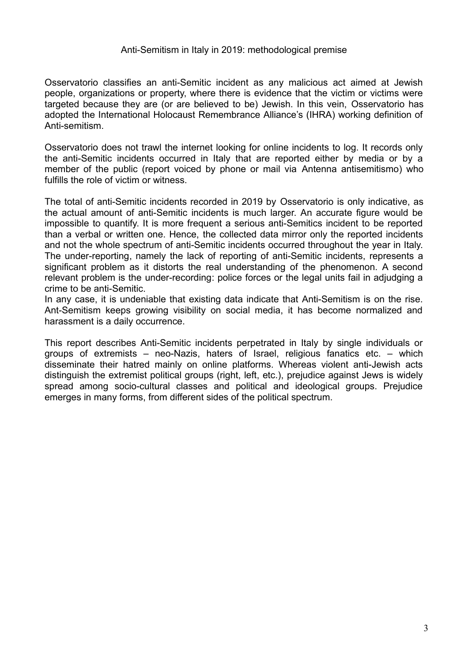#### Anti-Semitism in Italy in 2019: methodological premise

Osservatorio classifies an anti-Semitic incident as any malicious act aimed at Jewish people, organizations or property, where there is evidence that the victim or victims were targeted because they are (or are believed to be) Jewish. In this vein, Osservatorio has adopted the International Holocaust Remembrance Alliance's (IHRA) working definition of Anti-semitism.

Osservatorio does not trawl the internet looking for online incidents to log. It records only the anti-Semitic incidents occurred in Italy that are reported either by media or by a member of the public (report voiced by phone or mail via Antenna antisemitismo) who fulfills the role of victim or witness.

The total of anti-Semitic incidents recorded in 2019 by Osservatorio is only indicative, as the actual amount of anti-Semitic incidents is much larger. An accurate figure would be impossible to quantify. It is more frequent a serious anti-Semitics incident to be reported than a verbal or written one. Hence, the collected data mirror only the reported incidents and not the whole spectrum of anti-Semitic incidents occurred throughout the year in Italy. The under-reporting, namely the lack of reporting of anti-Semitic incidents, represents a significant problem as it distorts the real understanding of the phenomenon. A second relevant problem is the under-recording: police forces or the legal units fail in adjudging a crime to be anti-Semitic.

In any case, it is undeniable that existing data indicate that Anti-Semitism is on the rise. Ant-Semitism keeps growing visibility on social media, it has become normalized and harassment is a daily occurrence.

This report describes Anti-Semitic incidents perpetrated in Italy by single individuals or groups of extremists – neo-Nazis, haters of Israel, religious fanatics etc. – which disseminate their hatred mainly on online platforms. Whereas violent anti-Jewish acts distinguish the extremist political groups (right, left, etc.), prejudice against Jews is widely spread among socio-cultural classes and political and ideological groups. Prejudice emerges in many forms, from different sides of the political spectrum.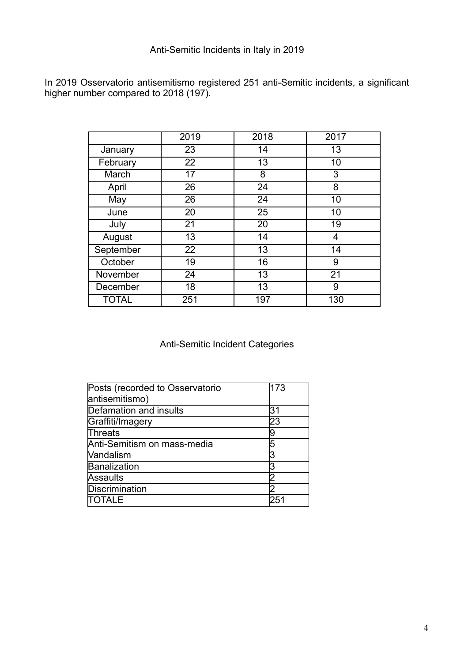# Anti-Semitic Incidents in Italy in 2019

In 2019 Osservatorio antisemitismo registered 251 anti-Semitic incidents, a significant higher number compared to 2018 (197).

|              | 2019 | 2018 | 2017 |
|--------------|------|------|------|
| January      | 23   | 14   | 13   |
| February     | 22   | 13   | 10   |
| March        | 17   | 8    | 3    |
| April        | 26   | 24   | 8    |
| May          | 26   | 24   | 10   |
| June         | 20   | 25   | 10   |
| July         | 21   | 20   | 19   |
| August       | 13   | 14   | 4    |
| September    | 22   | 13   | 14   |
| October      | 19   | 16   | 9    |
| November     | 24   | 13   | 21   |
| December     | 18   | 13   | 9    |
| <b>TOTAL</b> | 251  | 197  | 130  |

Anti-Semitic Incident Categories

| Posts (recorded to Osservatorio | 173 |
|---------------------------------|-----|
| antisemitismo)                  |     |
| Defamation and insults          | 31  |
| Graffiti/Imagery                | 23  |
| Threats                         | 19  |
| Anti-Semitism on mass-media     | 5   |
| Vandalism                       | 3   |
| Banalization                    | 3   |
| <b>Assaults</b>                 |     |
| <b>Discrimination</b>           |     |
|                                 |     |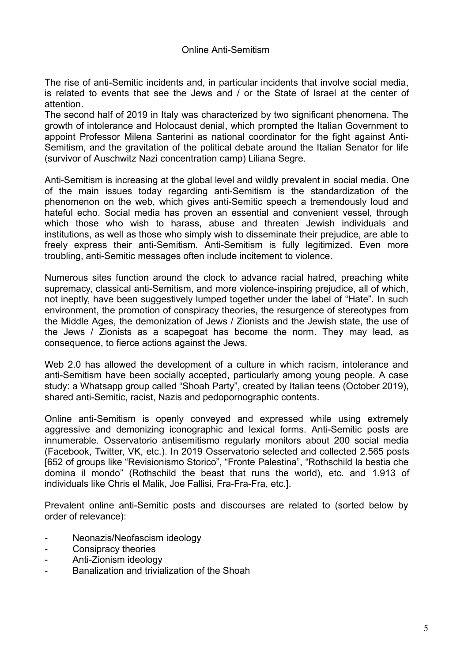The rise of anti-Semitic incidents and, in particular incidents that involve social media, is related to events that see the Jews and / or the State of Israel at the center of attention.

The second half of 2019 in Italy was characterized by two significant phenomena. The growth of intolerance and Holocaust denial, which prompted the Italian Government to appoint Professor Milena Santerini as national coordinator for the fight against Anti-Semitism, and the gravitation of the political debate around the Italian Senator for life (survivor of Auschwitz Nazi concentration camp) Liliana Segre.

Anti-Semitism is increasing at the global level and wildly prevalent in social media. One of the main issues today regarding anti-Semitism is the standardization of the phenomenon on the web, which gives anti-Semitic speech a tremendously loud and hateful echo. Social media has proven an essential and convenient vessel, through which those who wish to harass, abuse and threaten Jewish individuals and institutions, as well as those who simply wish to disseminate their prejudice, are able to freely express their anti-Semitism. Anti-Semitism is fully legitimized. Even more troubling, anti-Semitic messages often include incitement to violence.

Numerous sites function around the clock to advance racial hatred, preaching white supremacy, classical anti-Semitism, and more violence-inspiring prejudice, all of which, not ineptly, have been suggestively lumped together under the label of "Hate". In such environment, the promotion of conspiracy theories, the resurgence of stereotypes from the Middle Ages, the demonization of Jews / Zionists and the Jewish state, the use of the Jews / Zionists as a scapegoat has become the norm. They may lead, as consequence, to fierce actions against the Jews.

Web 2.0 has allowed the development of a culture in which racism, intolerance and anti-Semitism have been socially accepted, particularly among young people. A case study: a Whatsapp group called "Shoah Party", created by Italian teens (October 2019), shared anti-Semitic, racist, Nazis and pedopornographic contents.

Online anti-Semitism is openly conveyed and expressed while using extremely aggressive and demonizing iconographic and lexical forms. Anti-Semitic posts are innumerable. Osservatorio antisemitismo regularly monitors about 200 social media (Facebook, Twitter, VK, etc.). In 2019 Osservatorio selected and collected 2.565 posts [652 of groups like "Revisionismo Storico", "Fronte Palestina", "Rothschild la bestia che domina il mondo" (Rothschild the beast that runs the world), etc. and 1.913 of individuals like Chris el Malik, Joe Fallisi, Fra-Fra-Fra, etc.].

Prevalent online anti-Semitic posts and discourses are related to (sorted below by order of relevance):

- Neonazis/Neofascism ideology
- Consipracy theories
- Anti-Zionism ideology
- Banalization and trivialization of the Shoah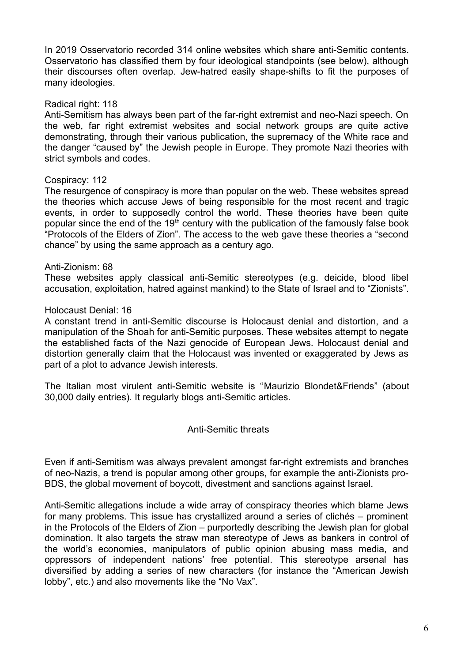In 2019 Osservatorio recorded 314 online websites which share anti-Semitic contents. Osservatorio has classified them by four ideological standpoints (see below), although their discourses often overlap. Jew-hatred easily shape-shifts to fit the purposes of many ideologies.

## Radical right: 118

Anti-Semitism has always been part of the far-right extremist and neo-Nazi speech. On the web, far right extremist websites and social network groups are quite active demonstrating, through their various publication, the supremacy of the White race and the danger "caused by" the Jewish people in Europe. They promote Nazi theories with strict symbols and codes.

#### Cospiracy: 112

The resurgence of conspiracy is more than popular on the web. These websites spread the theories which accuse Jews of being responsible for the most recent and tragic events, in order to supposedly control the world. These theories have been quite popular since the end of the  $19<sup>th</sup>$  century with the publication of the famously false book "Protocols of the Elders of Zion". The access to the web gave these theories a "second chance" by using the same approach as a century ago.

#### Anti-Zionism: 68

These websites apply classical anti-Semitic stereotypes (e.g. deicide, blood libel accusation, exploitation, hatred against mankind) to the State of Israel and to "Zionists".

#### Holocaust Denial: 16

A constant trend in anti-Semitic discourse is Holocaust denial and distortion, and a manipulation of the Shoah for anti-Semitic purposes. These websites attempt to negate the established facts of the Nazi genocide of European Jews. Holocaust denial and distortion generally claim that the Holocaust was invented or exaggerated by Jews as part of a plot to advance Jewish interests.

The Italian most virulent anti-Semitic website is "Maurizio Blondet&Friends" (about 30,000 daily entries). It regularly blogs anti-Semitic articles.

#### Anti-Semitic threats

Even if anti-Semitism was always prevalent amongst far-right extremists and branches of neo-Nazis, a trend is popular among other groups, for example the anti-Zionists pro-BDS, the global movement of boycott, divestment and sanctions against Israel.

Anti-Semitic allegations include a wide array of conspiracy theories which blame Jews for many problems. This issue has crystallized around a series of clichés – prominent in the Protocols of the Elders of Zion – purportedly describing the Jewish plan for global domination. It also targets the straw man stereotype of Jews as bankers in control of the world's economies, manipulators of public opinion abusing mass media, and oppressors of independent nations' free potential. This stereotype arsenal has diversified by adding a series of new characters (for instance the "American Jewish lobby", etc.) and also movements like the "No Vax".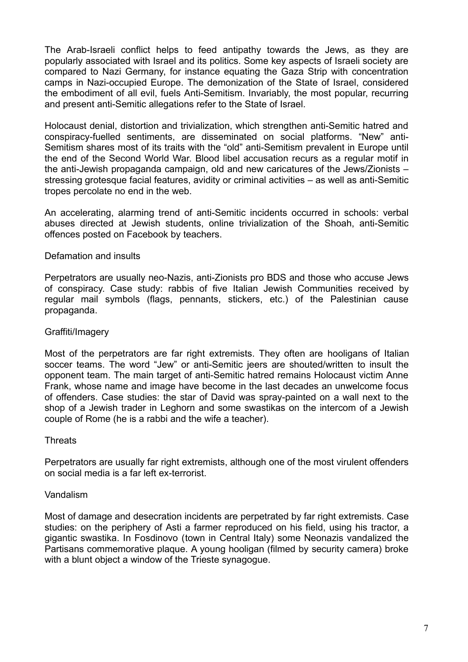The Arab-Israeli conflict helps to feed antipathy towards the Jews, as they are popularly associated with Israel and its politics. Some key aspects of Israeli society are compared to Nazi Germany, for instance equating the Gaza Strip with concentration camps in Nazi-occupied Europe. The demonization of the State of Israel, considered the embodiment of all evil, fuels Anti-Semitism. Invariably, the most popular, recurring and present anti-Semitic allegations refer to the State of Israel.

Holocaust denial, distortion and trivialization, which strengthen anti-Semitic hatred and conspiracy-fuelled sentiments, are disseminated on social platforms. "New" anti-Semitism shares most of its traits with the "old" anti-Semitism prevalent in Europe until the end of the Second World War. Blood libel accusation recurs as a regular motif in the anti-Jewish propaganda campaign, old and new caricatures of the Jews/Zionists – stressing grotesque facial features, avidity or criminal activities – as well as anti-Semitic tropes percolate no end in the web.

An accelerating, alarming trend of anti-Semitic incidents occurred in schools: verbal abuses directed at Jewish students, online trivialization of the Shoah, anti-Semitic offences posted on Facebook by teachers.

# Defamation and insults

Perpetrators are usually neo-Nazis, anti-Zionists pro BDS and those who accuse Jews of conspiracy. Case study: rabbis of five Italian Jewish Communities received by regular mail symbols (flags, pennants, stickers, etc.) of the Palestinian cause propaganda.

#### Graffiti/Imagery

Most of the perpetrators are far right extremists. They often are hooligans of Italian soccer teams. The word "Jew" or anti-Semitic jeers are shouted/written to insult the opponent team. The main target of anti-Semitic hatred remains Holocaust victim Anne Frank, whose name and image have become in the last decades an unwelcome focus of offenders. Case studies: the star of David was spray-painted on a wall next to the shop of a Jewish trader in Leghorn and some swastikas on the intercom of a Jewish couple of Rome (he is a rabbi and the wife a teacher).

#### **Threats**

Perpetrators are usually far right extremists, although one of the most virulent offenders on social media is a far left ex-terrorist.

#### Vandalism

Most of damage and desecration incidents are perpetrated by far right extremists. Case studies: on the periphery of Asti a farmer reproduced on his field, using his tractor, a gigantic swastika. In Fosdinovo (town in Central Italy) some Neonazis vandalized the Partisans commemorative plaque. A young hooligan (filmed by security camera) broke with a blunt object a window of the Trieste synagogue.